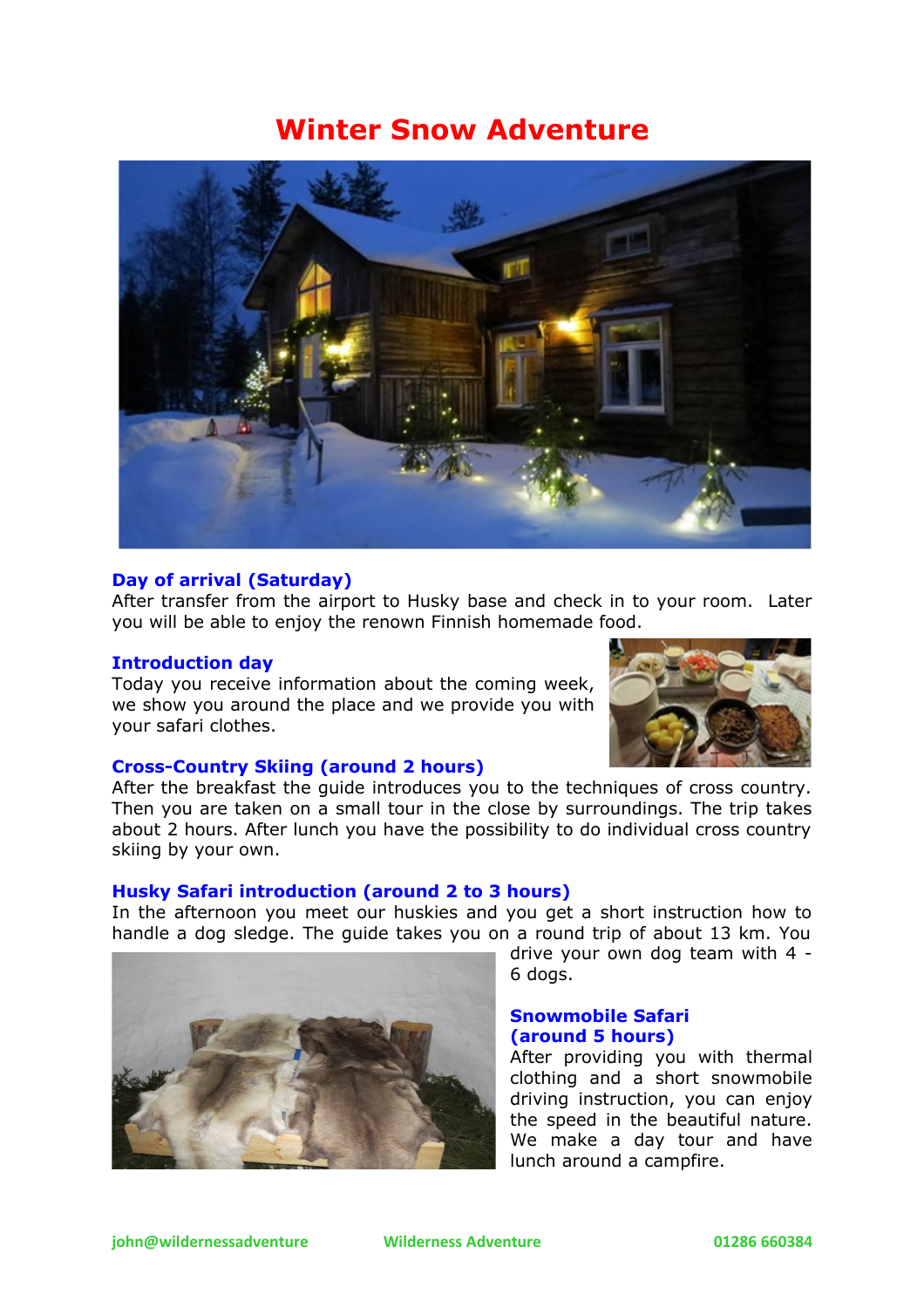# **Winter Snow Adventure**



#### **Day of arrival (Saturday)**

After transfer from the airport to Husky base and check in to your room. Later you will be able to enjoy the renown Finnish homemade food.

#### **Introduction day**

Today you receive information about the coming week, we show you around the place and we provide you with your safari clothes.



#### **Cross-Country Skiing (around 2 hours)**

After the breakfast the guide introduces you to the techniques of cross country. Then you are taken on a small tour in the close by surroundings. The trip takes about 2 hours. After lunch you have the possibility to do individual cross country skiing by your own.

#### **Husky Safari introduction (around 2 to 3 hours)**

In the afternoon you meet our huskies and you get a short instruction how to handle a dog sledge. The guide takes you on a round trip of about 13 km. You



drive your own dog team with 4 - 6 dogs.

#### **Snowmobile Safari (around 5 hours)**

After providing you with thermal clothing and a short snowmobile driving instruction, you can enjoy the speed in the beautiful nature. We make a day tour and have lunch around a campfire.